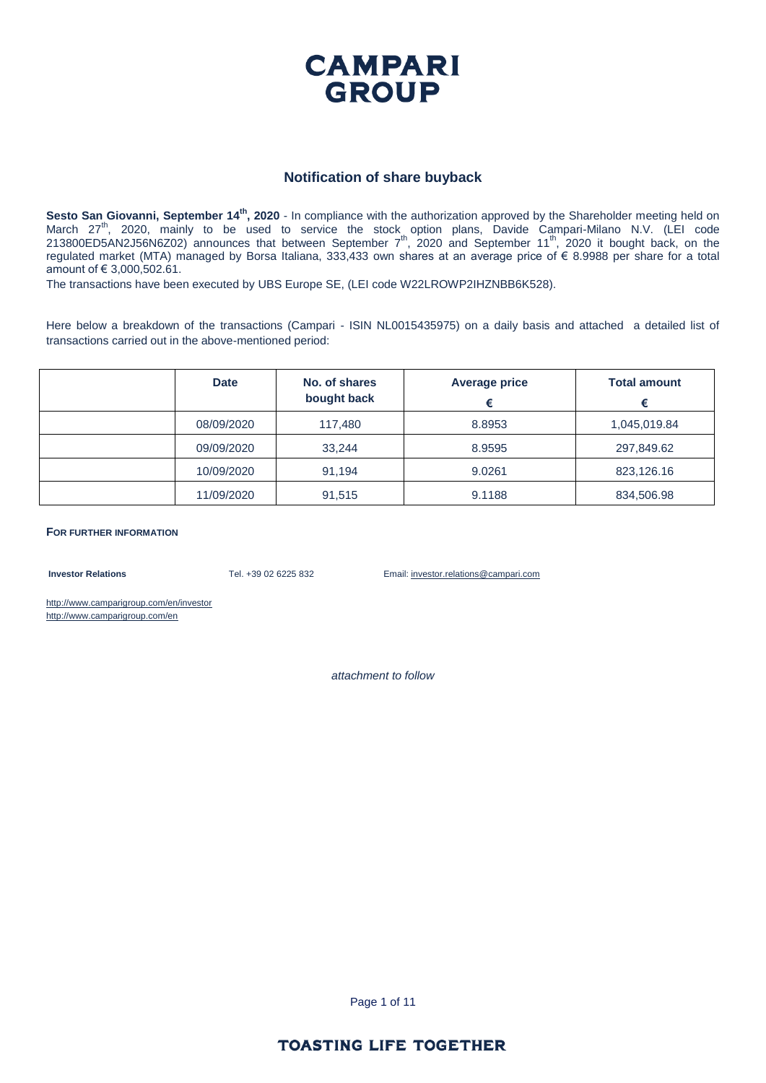

#### **Notification of share buyback**

**Sesto San Giovanni, September 14th, 2020** - In compliance with the authorization approved by the Shareholder meeting held on March 27<sup>th</sup>, 2020, mainly to be used to service the stock option plans, Davide Campari-Milano N.V. (LEI code 213800ED5AN2J56N6Z02) announces that between September  $7<sup>th</sup>$ , 2020 and September 11<sup>th</sup>, 2020 it bought back, on the regulated market (MTA) managed by Borsa Italiana, 333,433 own shares at an average price of € 8.9988 per share for a total amount of € 3,000,502.61.

The transactions have been executed by UBS Europe SE, (LEI code W22LROWP2IHZNBB6K528).

Here below a breakdown of the transactions (Campari - ISIN NL0015435975) on a daily basis and attached a detailed list of transactions carried out in the above-mentioned period:

| <b>Date</b> | No. of shares<br>bought back | <b>Average price</b> | <b>Total amount</b><br>€ |
|-------------|------------------------------|----------------------|--------------------------|
| 08/09/2020  | 117,480                      | 8.8953               | 1,045,019.84             |
| 09/09/2020  | 33.244                       | 8.9595               | 297,849.62               |
| 10/09/2020  | 91,194                       | 9.0261               | 823,126.16               |
| 11/09/2020  | 91,515                       | 9.1188               | 834,506.98               |

**FOR FURTHER INFORMATION**

**Investor Relations** Tel. +39 02 6225 832 Email: investor.relations@campari.com

http://www.camparigroup.com/en/investor http://www.camparigroup.com/en

*attachment to follow*

Page 1 of 11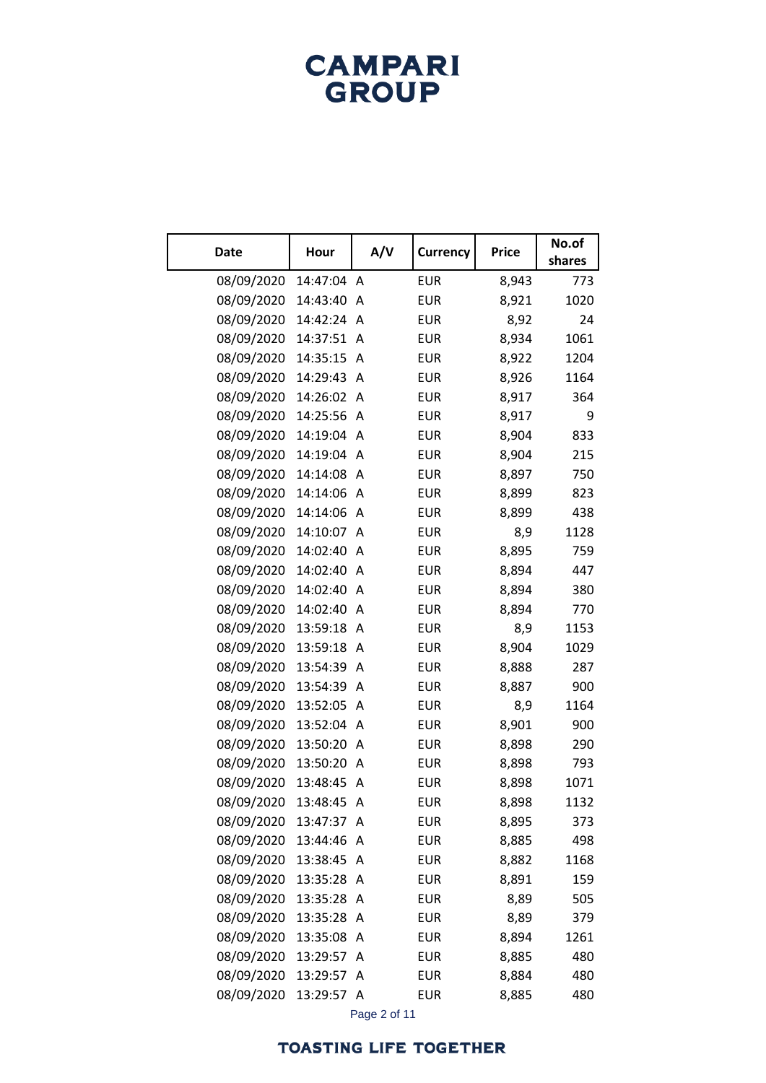| <b>Date</b> | Hour     | A/V | <b>Currency</b> | <b>Price</b> | No.of<br>shares |
|-------------|----------|-----|-----------------|--------------|-----------------|
| 08/09/2020  | 14:47:04 | Α   | <b>EUR</b>      | 8,943        | 773             |
| 08/09/2020  | 14:43:40 | A   | <b>EUR</b>      | 8,921        | 1020            |
| 08/09/2020  | 14:42:24 | A   | <b>EUR</b>      | 8,92         | 24              |
| 08/09/2020  | 14:37:51 | Α   | <b>EUR</b>      | 8,934        | 1061            |
| 08/09/2020  | 14:35:15 | Α   | <b>EUR</b>      | 8,922        | 1204            |
| 08/09/2020  | 14:29:43 | A   | <b>EUR</b>      | 8,926        | 1164            |
| 08/09/2020  | 14:26:02 | Α   | <b>EUR</b>      | 8,917        | 364             |
| 08/09/2020  | 14:25:56 | Α   | <b>EUR</b>      | 8,917        | 9               |
| 08/09/2020  | 14:19:04 | Α   | <b>EUR</b>      | 8,904        | 833             |
| 08/09/2020  | 14:19:04 | A   | <b>EUR</b>      | 8,904        | 215             |
| 08/09/2020  | 14:14:08 | A   | <b>EUR</b>      | 8,897        | 750             |
| 08/09/2020  | 14:14:06 | Α   | <b>EUR</b>      | 8,899        | 823             |
| 08/09/2020  | 14:14:06 | Α   | <b>EUR</b>      | 8,899        | 438             |
| 08/09/2020  | 14:10:07 | A   | <b>EUR</b>      | 8,9          | 1128            |
| 08/09/2020  | 14:02:40 | A   | <b>EUR</b>      | 8,895        | 759             |
| 08/09/2020  | 14:02:40 | A   | <b>EUR</b>      | 8,894        | 447             |
| 08/09/2020  | 14:02:40 | Α   | <b>EUR</b>      | 8,894        | 380             |
| 08/09/2020  | 14:02:40 | A   | <b>EUR</b>      | 8,894        | 770             |
| 08/09/2020  | 13:59:18 | A   | <b>EUR</b>      | 8,9          | 1153            |
| 08/09/2020  | 13:59:18 | Α   | <b>EUR</b>      | 8,904        | 1029            |
| 08/09/2020  | 13:54:39 | Α   | <b>EUR</b>      | 8,888        | 287             |
| 08/09/2020  | 13:54:39 | A   | <b>EUR</b>      | 8,887        | 900             |
| 08/09/2020  | 13:52:05 | Α   | <b>EUR</b>      | 8,9          | 1164            |
| 08/09/2020  | 13:52:04 | Α   | <b>EUR</b>      | 8,901        | 900             |
| 08/09/2020  | 13:50:20 | Α   | <b>EUR</b>      | 8,898        | 290             |
| 08/09/2020  | 13:50:20 | Α   | <b>EUR</b>      | 8,898        | 793             |
| 08/09/2020  | 13:48:45 | Α   | <b>EUR</b>      | 8,898        | 1071            |
| 08/09/2020  | 13:48:45 | Α   | <b>EUR</b>      | 8,898        | 1132            |
| 08/09/2020  | 13:47:37 | A   | <b>EUR</b>      | 8,895        | 373             |
| 08/09/2020  | 13:44:46 | Α   | <b>EUR</b>      | 8,885        | 498             |
| 08/09/2020  | 13:38:45 | Α   | <b>EUR</b>      | 8,882        | 1168            |
| 08/09/2020  | 13:35:28 | Α   | <b>EUR</b>      | 8,891        | 159             |
| 08/09/2020  | 13:35:28 | Α   | <b>EUR</b>      | 8,89         | 505             |
| 08/09/2020  | 13:35:28 | Α   | <b>EUR</b>      | 8,89         | 379             |
| 08/09/2020  | 13:35:08 | Α   | <b>EUR</b>      | 8,894        | 1261            |
| 08/09/2020  | 13:29:57 | Α   | <b>EUR</b>      | 8,885        | 480             |
| 08/09/2020  | 13:29:57 | Α   | <b>EUR</b>      | 8,884        | 480             |
| 08/09/2020  | 13:29:57 | Α   | <b>EUR</b>      | 8,885        | 480             |

Page 2 of 11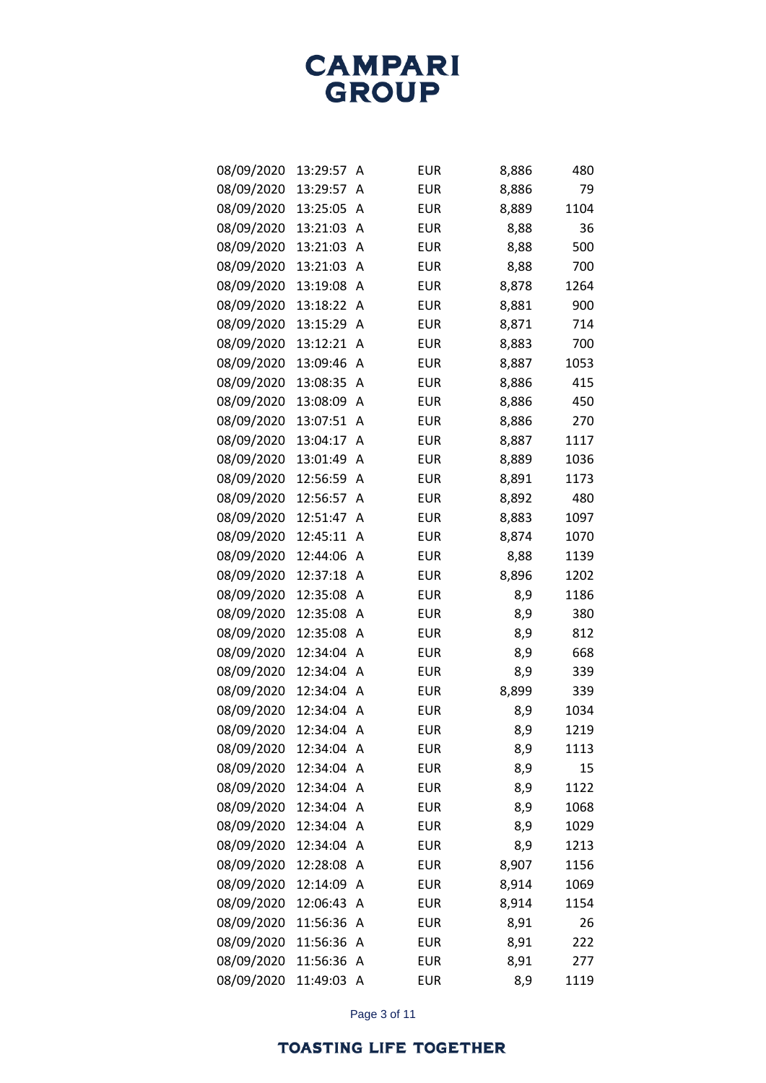| 08/09/2020 | 13:29:57 | Α              | <b>EUR</b> | 8,886 | 480  |
|------------|----------|----------------|------------|-------|------|
| 08/09/2020 | 13:29:57 | Α              | <b>EUR</b> | 8,886 | 79   |
| 08/09/2020 | 13:25:05 | Α              | <b>EUR</b> | 8,889 | 1104 |
| 08/09/2020 | 13:21:03 | Α              | <b>EUR</b> | 8,88  | 36   |
| 08/09/2020 | 13:21:03 | Α              | <b>EUR</b> | 8,88  | 500  |
| 08/09/2020 | 13:21:03 | A              | <b>EUR</b> | 8,88  | 700  |
| 08/09/2020 | 13:19:08 | Α              | <b>EUR</b> | 8,878 | 1264 |
| 08/09/2020 | 13:18:22 | Α              | <b>EUR</b> | 8,881 | 900  |
| 08/09/2020 | 13:15:29 | Α              | <b>EUR</b> | 8,871 | 714  |
| 08/09/2020 | 13:12:21 | A              | <b>EUR</b> | 8,883 | 700  |
| 08/09/2020 | 13:09:46 | Α              | <b>EUR</b> | 8,887 | 1053 |
| 08/09/2020 | 13:08:35 | A              | <b>EUR</b> | 8,886 | 415  |
| 08/09/2020 | 13:08:09 | Α              | <b>EUR</b> | 8,886 | 450  |
| 08/09/2020 | 13:07:51 | Α              | <b>EUR</b> | 8,886 | 270  |
| 08/09/2020 | 13:04:17 | Α              | <b>EUR</b> | 8,887 | 1117 |
| 08/09/2020 | 13:01:49 | Α              | <b>EUR</b> | 8,889 | 1036 |
| 08/09/2020 | 12:56:59 | Α              | <b>EUR</b> | 8,891 | 1173 |
| 08/09/2020 | 12:56:57 | Α              | <b>EUR</b> | 8,892 | 480  |
| 08/09/2020 | 12:51:47 | Α              | <b>EUR</b> | 8,883 | 1097 |
| 08/09/2020 | 12:45:11 | Α              | <b>EUR</b> | 8,874 | 1070 |
| 08/09/2020 | 12:44:06 | Α              | <b>EUR</b> | 8,88  | 1139 |
| 08/09/2020 | 12:37:18 | Α              | <b>EUR</b> | 8,896 | 1202 |
| 08/09/2020 | 12:35:08 | Α              | <b>EUR</b> | 8,9   | 1186 |
| 08/09/2020 | 12:35:08 | Α              | <b>EUR</b> | 8,9   | 380  |
| 08/09/2020 | 12:35:08 | Α              | <b>EUR</b> | 8,9   | 812  |
| 08/09/2020 | 12:34:04 | Α              | <b>EUR</b> | 8,9   | 668  |
| 08/09/2020 | 12:34:04 | Α              | <b>EUR</b> | 8,9   | 339  |
| 08/09/2020 | 12:34:04 | Α              | <b>EUR</b> | 8,899 | 339  |
| 08/09/2020 | 12:34:04 | Α              | <b>EUR</b> | 8,9   | 1034 |
| 08/09/2020 | 12:34:04 | Α              | <b>EUR</b> | 8,9   | 1219 |
| 08/09/2020 | 12:34:04 | Α              | <b>EUR</b> | 8,9   | 1113 |
| 08/09/2020 | 12:34:04 | Α              | <b>EUR</b> | 8,9   | 15   |
| 08/09/2020 | 12:34:04 | Α              | <b>EUR</b> | 8,9   | 1122 |
| 08/09/2020 | 12:34:04 | Α              | <b>EUR</b> | 8,9   | 1068 |
| 08/09/2020 | 12:34:04 | Α              | <b>EUR</b> | 8,9   | 1029 |
| 08/09/2020 | 12:34:04 | Α              | <b>EUR</b> | 8,9   | 1213 |
| 08/09/2020 | 12:28:08 | Α              | <b>EUR</b> | 8,907 | 1156 |
| 08/09/2020 | 12:14:09 | Α              | <b>EUR</b> | 8,914 | 1069 |
| 08/09/2020 | 12:06:43 | A              | <b>EUR</b> | 8,914 | 1154 |
| 08/09/2020 | 11:56:36 | Α              | <b>EUR</b> | 8,91  | 26   |
| 08/09/2020 | 11:56:36 | Α              | <b>EUR</b> | 8,91  | 222  |
| 08/09/2020 | 11:56:36 | Α              | <b>EUR</b> | 8,91  | 277  |
| 08/09/2020 | 11:49:03 | $\overline{A}$ | <b>EUR</b> | 8,9   | 1119 |

Page 3 of 11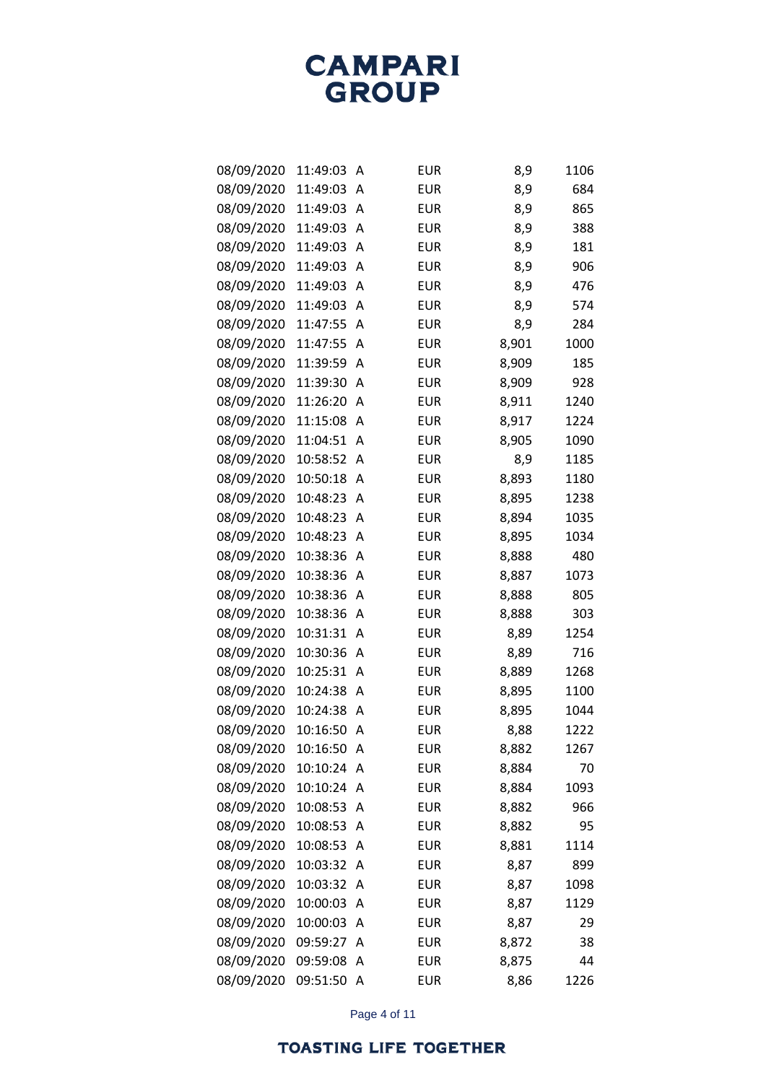| 08/09/2020 | 11:49:03 | Α | <b>EUR</b> | 8,9   | 1106 |
|------------|----------|---|------------|-------|------|
| 08/09/2020 | 11:49:03 | A | <b>EUR</b> | 8,9   | 684  |
| 08/09/2020 | 11:49:03 | Α | <b>EUR</b> | 8,9   | 865  |
| 08/09/2020 | 11:49:03 | Α | <b>EUR</b> | 8,9   | 388  |
| 08/09/2020 | 11:49:03 | Α | <b>EUR</b> | 8,9   | 181  |
| 08/09/2020 | 11:49:03 | Α | <b>EUR</b> | 8,9   | 906  |
| 08/09/2020 | 11:49:03 | Α | <b>EUR</b> | 8,9   | 476  |
| 08/09/2020 | 11:49:03 | Α | <b>EUR</b> | 8,9   | 574  |
| 08/09/2020 | 11:47:55 | Α | <b>EUR</b> | 8,9   | 284  |
| 08/09/2020 | 11:47:55 | Α | <b>EUR</b> | 8,901 | 1000 |
| 08/09/2020 | 11:39:59 | Α | <b>EUR</b> | 8,909 | 185  |
| 08/09/2020 | 11:39:30 | Α | <b>EUR</b> | 8,909 | 928  |
| 08/09/2020 | 11:26:20 | Α | <b>EUR</b> | 8,911 | 1240 |
| 08/09/2020 | 11:15:08 | Α | <b>EUR</b> | 8,917 | 1224 |
| 08/09/2020 | 11:04:51 | Α | <b>EUR</b> | 8,905 | 1090 |
| 08/09/2020 | 10:58:52 | Α | <b>EUR</b> | 8,9   | 1185 |
| 08/09/2020 | 10:50:18 | Α | <b>EUR</b> | 8,893 | 1180 |
| 08/09/2020 | 10:48:23 | Α | <b>EUR</b> | 8,895 | 1238 |
| 08/09/2020 | 10:48:23 | Α | <b>EUR</b> | 8,894 | 1035 |
| 08/09/2020 | 10:48:23 | Α | <b>EUR</b> | 8,895 | 1034 |
| 08/09/2020 | 10:38:36 | Α | <b>EUR</b> | 8,888 | 480  |
| 08/09/2020 | 10:38:36 | Α | <b>EUR</b> | 8,887 | 1073 |
| 08/09/2020 | 10:38:36 | Α | <b>EUR</b> | 8,888 | 805  |
| 08/09/2020 | 10:38:36 | Α | <b>EUR</b> | 8,888 | 303  |
| 08/09/2020 | 10:31:31 | Α | <b>EUR</b> | 8,89  | 1254 |
| 08/09/2020 | 10:30:36 | Α | <b>EUR</b> | 8,89  | 716  |
| 08/09/2020 | 10:25:31 | Α | <b>EUR</b> | 8,889 | 1268 |
| 08/09/2020 | 10:24:38 | Α | <b>EUR</b> | 8,895 | 1100 |
| 08/09/2020 | 10:24:38 | Α | <b>EUR</b> | 8,895 | 1044 |
| 08/09/2020 | 10:16:50 | Α | <b>EUR</b> | 8,88  | 1222 |
| 08/09/2020 | 10:16:50 | Α | <b>EUR</b> | 8,882 | 1267 |
| 08/09/2020 | 10:10:24 | Α | <b>EUR</b> | 8,884 | 70   |
| 08/09/2020 | 10:10:24 | Α | <b>EUR</b> | 8,884 | 1093 |
| 08/09/2020 | 10:08:53 | Α | <b>EUR</b> | 8,882 | 966  |
| 08/09/2020 | 10:08:53 | Α | <b>EUR</b> | 8,882 | 95   |
| 08/09/2020 | 10:08:53 | Α | <b>EUR</b> | 8,881 | 1114 |
| 08/09/2020 | 10:03:32 | Α | <b>EUR</b> | 8,87  | 899  |
| 08/09/2020 | 10:03:32 | Α | <b>EUR</b> | 8,87  | 1098 |
| 08/09/2020 | 10:00:03 | Α | <b>EUR</b> | 8,87  | 1129 |
| 08/09/2020 | 10:00:03 | Α | <b>EUR</b> | 8,87  | 29   |
| 08/09/2020 | 09:59:27 | Α | <b>EUR</b> | 8,872 | 38   |
| 08/09/2020 | 09:59:08 | Α | <b>EUR</b> | 8,875 | 44   |
| 08/09/2020 | 09:51:50 | Α | <b>EUR</b> | 8,86  | 1226 |

Page 4 of 11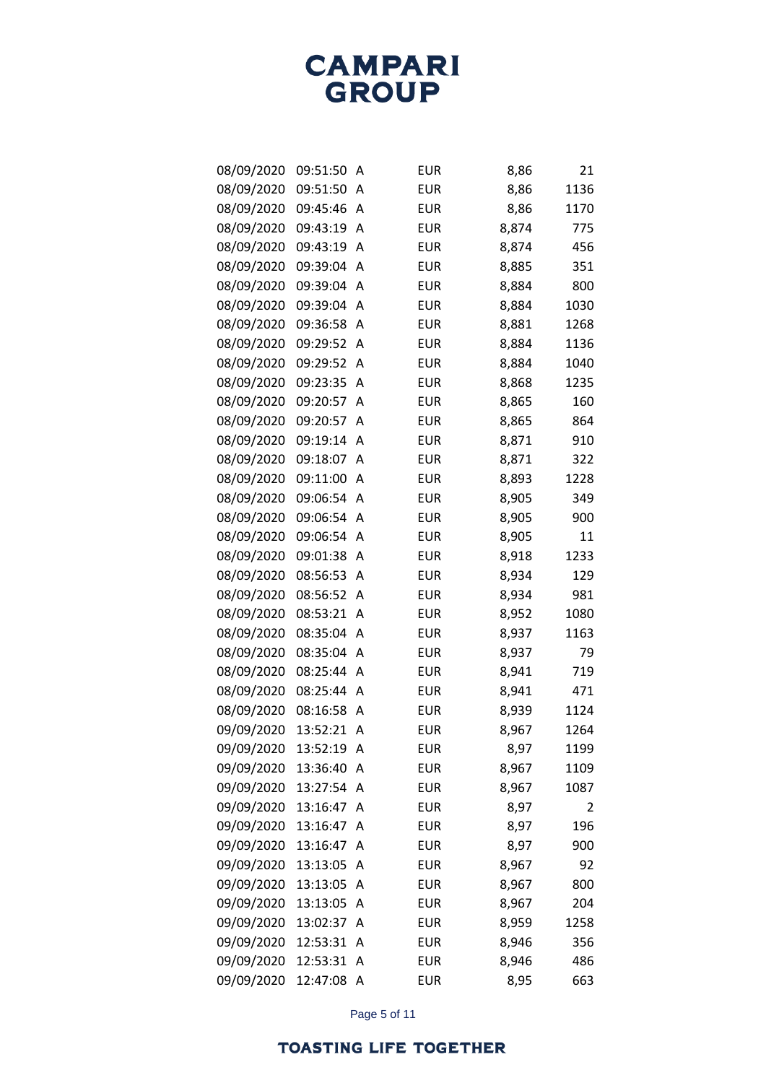| 08/09/2020 | 09:51:50 | Α | <b>EUR</b> | 8,86  | 21   |
|------------|----------|---|------------|-------|------|
| 08/09/2020 | 09:51:50 | Α | <b>EUR</b> | 8,86  | 1136 |
| 08/09/2020 | 09:45:46 | Α | <b>EUR</b> | 8,86  | 1170 |
| 08/09/2020 | 09:43:19 | Α | <b>EUR</b> | 8,874 | 775  |
| 08/09/2020 | 09:43:19 | Α | <b>EUR</b> | 8,874 | 456  |
| 08/09/2020 | 09:39:04 | Α | <b>EUR</b> | 8,885 | 351  |
| 08/09/2020 | 09:39:04 | Α | <b>EUR</b> | 8,884 | 800  |
| 08/09/2020 | 09:39:04 | Α | <b>EUR</b> | 8,884 | 1030 |
| 08/09/2020 | 09:36:58 | Α | <b>EUR</b> | 8,881 | 1268 |
| 08/09/2020 | 09:29:52 | Α | <b>EUR</b> | 8,884 | 1136 |
| 08/09/2020 | 09:29:52 | Α | <b>EUR</b> | 8,884 | 1040 |
| 08/09/2020 | 09:23:35 | Α | <b>EUR</b> | 8,868 | 1235 |
| 08/09/2020 | 09:20:57 | Α | <b>EUR</b> | 8,865 | 160  |
| 08/09/2020 | 09:20:57 | Α | <b>EUR</b> | 8,865 | 864  |
| 08/09/2020 | 09:19:14 | Α | <b>EUR</b> | 8,871 | 910  |
| 08/09/2020 | 09:18:07 | Α | <b>EUR</b> | 8,871 | 322  |
| 08/09/2020 | 09:11:00 | Α | <b>EUR</b> | 8,893 | 1228 |
| 08/09/2020 | 09:06:54 | Α | <b>EUR</b> | 8,905 | 349  |
| 08/09/2020 | 09:06:54 | Α | <b>EUR</b> | 8,905 | 900  |
| 08/09/2020 | 09:06:54 | Α | <b>EUR</b> | 8,905 | 11   |
| 08/09/2020 | 09:01:38 | Α | <b>EUR</b> | 8,918 | 1233 |
| 08/09/2020 | 08:56:53 | Α | <b>EUR</b> | 8,934 | 129  |
| 08/09/2020 | 08:56:52 | Α | <b>EUR</b> | 8,934 | 981  |
| 08/09/2020 | 08:53:21 | Α | <b>EUR</b> | 8,952 | 1080 |
| 08/09/2020 | 08:35:04 | Α | <b>EUR</b> | 8,937 | 1163 |
| 08/09/2020 | 08:35:04 | Α | <b>EUR</b> | 8,937 | 79   |
| 08/09/2020 | 08:25:44 | Α | <b>EUR</b> | 8,941 | 719  |
| 08/09/2020 | 08:25:44 | Α | <b>EUR</b> | 8,941 | 471  |
| 08/09/2020 | 08:16:58 | Α | <b>EUR</b> | 8,939 | 1124 |
| 09/09/2020 | 13:52:21 | Α | <b>EUR</b> | 8,967 | 1264 |
| 09/09/2020 | 13:52:19 | Α | <b>EUR</b> | 8,97  | 1199 |
| 09/09/2020 | 13:36:40 | A | <b>EUR</b> | 8,967 | 1109 |
| 09/09/2020 | 13:27:54 | Α | <b>EUR</b> | 8,967 | 1087 |
| 09/09/2020 | 13:16:47 | Α | <b>EUR</b> | 8,97  | 2    |
| 09/09/2020 | 13:16:47 | Α | <b>EUR</b> | 8,97  | 196  |
| 09/09/2020 | 13:16:47 | Α | <b>EUR</b> | 8,97  | 900  |
| 09/09/2020 | 13:13:05 | Α | <b>EUR</b> | 8,967 | 92   |
| 09/09/2020 | 13:13:05 | Α | <b>EUR</b> | 8,967 | 800  |
| 09/09/2020 | 13:13:05 | Α | <b>EUR</b> | 8,967 | 204  |
| 09/09/2020 | 13:02:37 | Α | <b>EUR</b> | 8,959 | 1258 |
| 09/09/2020 | 12:53:31 | Α | EUR        | 8,946 | 356  |
| 09/09/2020 | 12:53:31 | Α | EUR        | 8,946 | 486  |
| 09/09/2020 | 12:47:08 | A | EUR        | 8,95  | 663  |

Page 5 of 11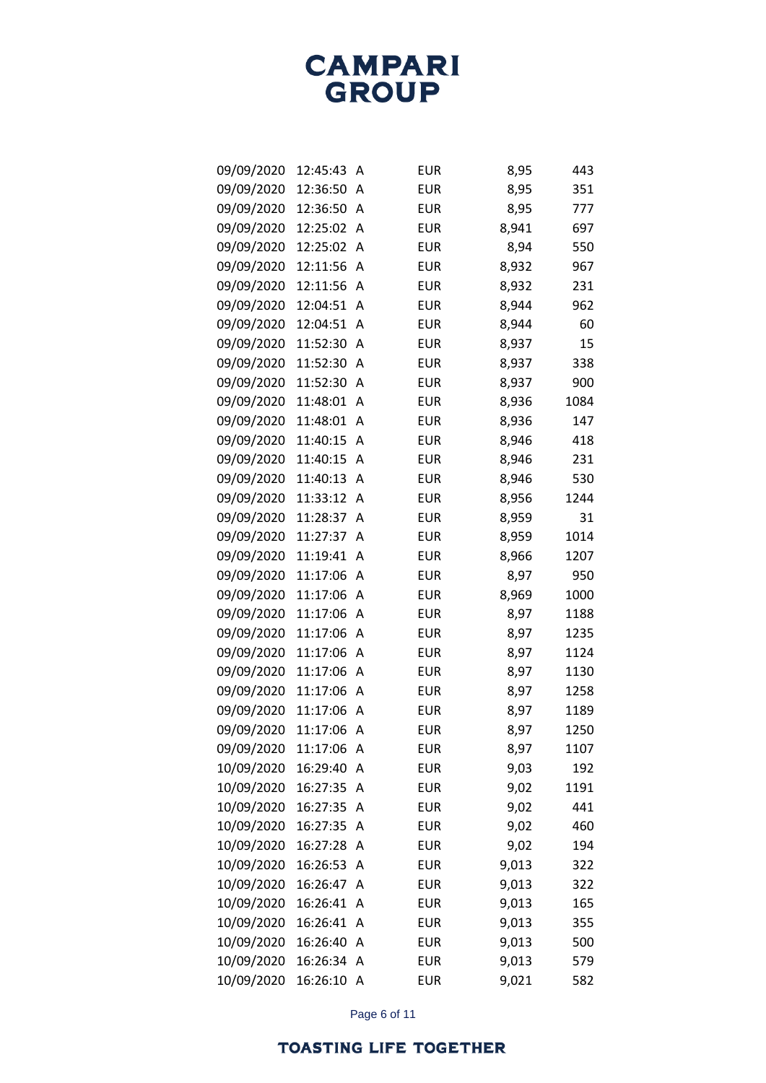| 09/09/2020 | 12:45:43 | Α | <b>EUR</b> | 8,95  | 443  |
|------------|----------|---|------------|-------|------|
| 09/09/2020 | 12:36:50 | A | <b>EUR</b> | 8,95  | 351  |
| 09/09/2020 | 12:36:50 | A | <b>EUR</b> | 8,95  | 777  |
| 09/09/2020 | 12:25:02 | A | <b>EUR</b> | 8,941 | 697  |
| 09/09/2020 | 12:25:02 | Α | <b>EUR</b> | 8,94  | 550  |
| 09/09/2020 | 12:11:56 | Α | <b>EUR</b> | 8,932 | 967  |
| 09/09/2020 | 12:11:56 | A | <b>EUR</b> | 8,932 | 231  |
| 09/09/2020 | 12:04:51 | Α | <b>EUR</b> | 8,944 | 962  |
| 09/09/2020 | 12:04:51 | Α | <b>EUR</b> | 8,944 | 60   |
| 09/09/2020 | 11:52:30 | A | <b>EUR</b> | 8,937 | 15   |
| 09/09/2020 | 11:52:30 | Α | <b>EUR</b> | 8,937 | 338  |
| 09/09/2020 | 11:52:30 | Α | <b>EUR</b> | 8,937 | 900  |
| 09/09/2020 | 11:48:01 | Α | <b>EUR</b> | 8,936 | 1084 |
| 09/09/2020 | 11:48:01 | A | <b>EUR</b> | 8,936 | 147  |
| 09/09/2020 | 11:40:15 | Α | <b>EUR</b> | 8,946 | 418  |
| 09/09/2020 | 11:40:15 | Α | <b>EUR</b> | 8,946 | 231  |
| 09/09/2020 | 11:40:13 | A | <b>EUR</b> | 8,946 | 530  |
| 09/09/2020 | 11:33:12 | Α | <b>EUR</b> | 8,956 | 1244 |
| 09/09/2020 | 11:28:37 | A | <b>EUR</b> | 8,959 | 31   |
| 09/09/2020 | 11:27:37 | Α | <b>EUR</b> | 8,959 | 1014 |
| 09/09/2020 | 11:19:41 | A | <b>EUR</b> | 8,966 | 1207 |
| 09/09/2020 | 11:17:06 | A | <b>EUR</b> | 8,97  | 950  |
| 09/09/2020 | 11:17:06 | A | <b>EUR</b> | 8,969 | 1000 |
| 09/09/2020 | 11:17:06 | Α | <b>EUR</b> | 8,97  | 1188 |
| 09/09/2020 | 11:17:06 | A | <b>EUR</b> | 8,97  | 1235 |
| 09/09/2020 | 11:17:06 | Α | <b>EUR</b> | 8,97  | 1124 |
| 09/09/2020 | 11:17:06 | A | <b>EUR</b> | 8,97  | 1130 |
| 09/09/2020 | 11:17:06 | Α | <b>EUR</b> | 8,97  | 1258 |
| 09/09/2020 | 11:17:06 | Α | <b>EUR</b> | 8,97  | 1189 |
| 09/09/2020 | 11:17:06 | Α | <b>EUR</b> | 8,97  | 1250 |
| 09/09/2020 | 11:17:06 | Α | <b>EUR</b> | 8,97  | 1107 |
| 10/09/2020 | 16:29:40 | A | <b>EUR</b> | 9,03  | 192  |
| 10/09/2020 | 16:27:35 | Α | <b>EUR</b> | 9,02  | 1191 |
| 10/09/2020 | 16:27:35 | Α | <b>EUR</b> | 9,02  | 441  |
| 10/09/2020 | 16:27:35 | Α | <b>EUR</b> | 9,02  | 460  |
| 10/09/2020 | 16:27:28 | A | <b>EUR</b> | 9,02  | 194  |
| 10/09/2020 | 16:26:53 | Α | <b>EUR</b> | 9,013 | 322  |
| 10/09/2020 | 16:26:47 | Α | <b>EUR</b> | 9,013 | 322  |
| 10/09/2020 | 16:26:41 | Α | <b>EUR</b> | 9,013 | 165  |
| 10/09/2020 | 16:26:41 | A | <b>EUR</b> | 9,013 | 355  |
| 10/09/2020 | 16:26:40 | Α | <b>EUR</b> | 9,013 | 500  |
| 10/09/2020 | 16:26:34 | Α | <b>EUR</b> | 9,013 | 579  |
| 10/09/2020 | 16:26:10 | A | EUR        | 9,021 | 582  |

Page 6 of 11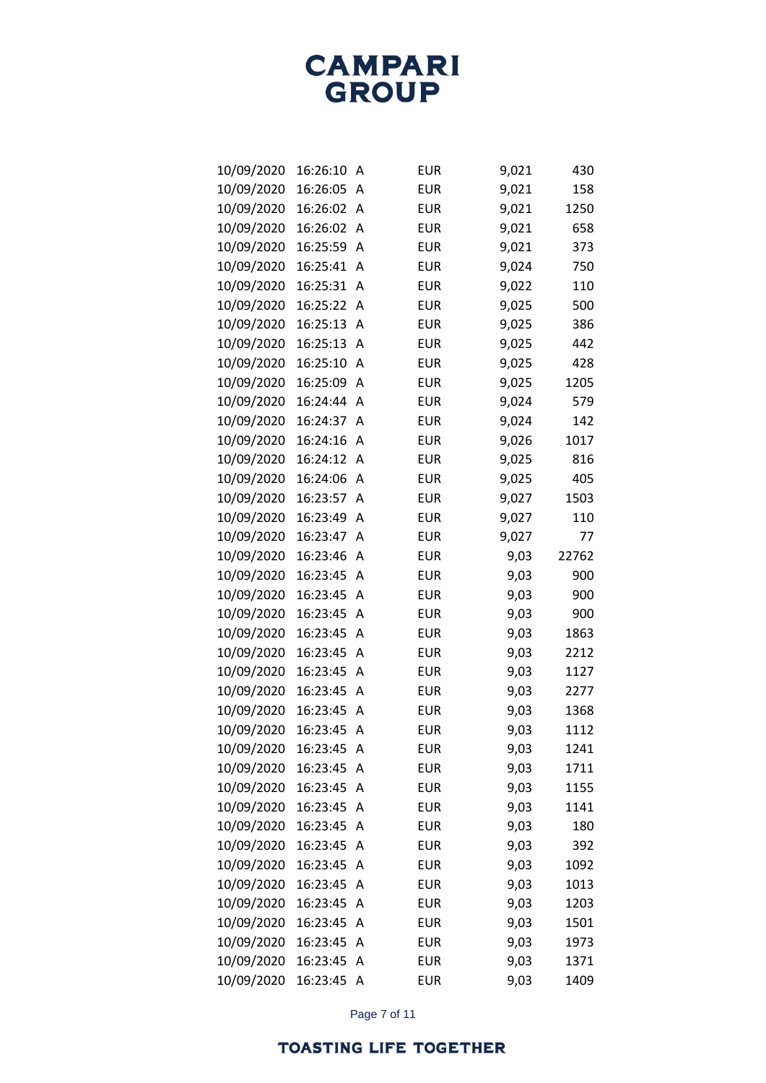| 10/09/2020 | 16:26:10 | Α            | <b>EUR</b> | 9,021 | 430   |
|------------|----------|--------------|------------|-------|-------|
| 10/09/2020 | 16:26:05 | A            | <b>EUR</b> | 9,021 | 158   |
| 10/09/2020 | 16:26:02 | Α            | <b>EUR</b> | 9,021 | 1250  |
| 10/09/2020 | 16:26:02 | Α            | <b>EUR</b> | 9,021 | 658   |
| 10/09/2020 | 16:25:59 | Α            | <b>EUR</b> | 9,021 | 373   |
| 10/09/2020 | 16:25:41 | Α            | <b>EUR</b> | 9,024 | 750   |
| 10/09/2020 | 16:25:31 | Α            | <b>EUR</b> | 9,022 | 110   |
| 10/09/2020 | 16:25:22 | Α            | <b>EUR</b> | 9,025 | 500   |
| 10/09/2020 | 16:25:13 | Α            | <b>EUR</b> | 9,025 | 386   |
| 10/09/2020 | 16:25:13 | Α            | <b>EUR</b> | 9,025 | 442   |
| 10/09/2020 | 16:25:10 | Α            | <b>EUR</b> | 9,025 | 428   |
| 10/09/2020 | 16:25:09 | Α            | <b>EUR</b> | 9,025 | 1205  |
| 10/09/2020 | 16:24:44 | Α            | <b>EUR</b> | 9,024 | 579   |
| 10/09/2020 | 16:24:37 | Α            | <b>EUR</b> | 9,024 | 142   |
| 10/09/2020 | 16:24:16 | Α            | <b>EUR</b> | 9,026 | 1017  |
| 10/09/2020 | 16:24:12 | Α            | <b>EUR</b> | 9,025 | 816   |
| 10/09/2020 | 16:24:06 | Α            | <b>EUR</b> | 9,025 | 405   |
| 10/09/2020 | 16:23:57 | Α            | <b>EUR</b> | 9,027 | 1503  |
| 10/09/2020 | 16:23:49 | Α            | <b>EUR</b> | 9,027 | 110   |
| 10/09/2020 | 16:23:47 | Α            | <b>EUR</b> | 9,027 | 77    |
| 10/09/2020 | 16:23:46 | Α            | <b>EUR</b> | 9,03  | 22762 |
| 10/09/2020 | 16:23:45 | Α            | <b>EUR</b> | 9,03  | 900   |
| 10/09/2020 | 16:23:45 | Α            | <b>EUR</b> | 9,03  | 900   |
| 10/09/2020 | 16:23:45 | Α            | <b>EUR</b> | 9,03  | 900   |
| 10/09/2020 | 16:23:45 | Α            | <b>EUR</b> | 9,03  | 1863  |
| 10/09/2020 | 16:23:45 | Α            | <b>EUR</b> | 9,03  | 2212  |
| 10/09/2020 | 16:23:45 | Α            | <b>EUR</b> | 9,03  | 1127  |
| 10/09/2020 | 16:23:45 | Α            | <b>EUR</b> | 9,03  | 2277  |
| 10/09/2020 | 16:23:45 | Α            | <b>EUR</b> | 9,03  | 1368  |
| 10/09/2020 | 16:23:45 | Α            | <b>EUR</b> | 9,03  | 1112  |
| 10/09/2020 | 16:23:45 | Α            | <b>EUR</b> | 9,03  | 1241  |
| 10/09/2020 | 16:23:45 | Α            | <b>EUR</b> | 9,03  | 1711  |
| 10/09/2020 | 16:23:45 | Α            | <b>EUR</b> | 9,03  | 1155  |
| 10/09/2020 | 16:23:45 | Α            | <b>EUR</b> | 9,03  | 1141  |
| 10/09/2020 | 16:23:45 | A            | <b>EUR</b> | 9,03  | 180   |
| 10/09/2020 | 16:23:45 | Α            | <b>EUR</b> | 9,03  | 392   |
| 10/09/2020 | 16:23:45 | Α            | <b>EUR</b> | 9,03  | 1092  |
| 10/09/2020 | 16:23:45 | Α            | <b>EUR</b> | 9,03  | 1013  |
| 10/09/2020 | 16:23:45 | Α            | <b>EUR</b> | 9,03  | 1203  |
| 10/09/2020 | 16:23:45 | Α            | <b>EUR</b> | 9,03  | 1501  |
| 10/09/2020 | 16:23:45 | Α            | <b>EUR</b> | 9,03  | 1973  |
| 10/09/2020 | 16:23:45 | Α            | <b>EUR</b> | 9,03  | 1371  |
| 10/09/2020 | 16:23:45 | $\mathsf{A}$ | <b>EUR</b> | 9,03  | 1409  |

Page 7 of 11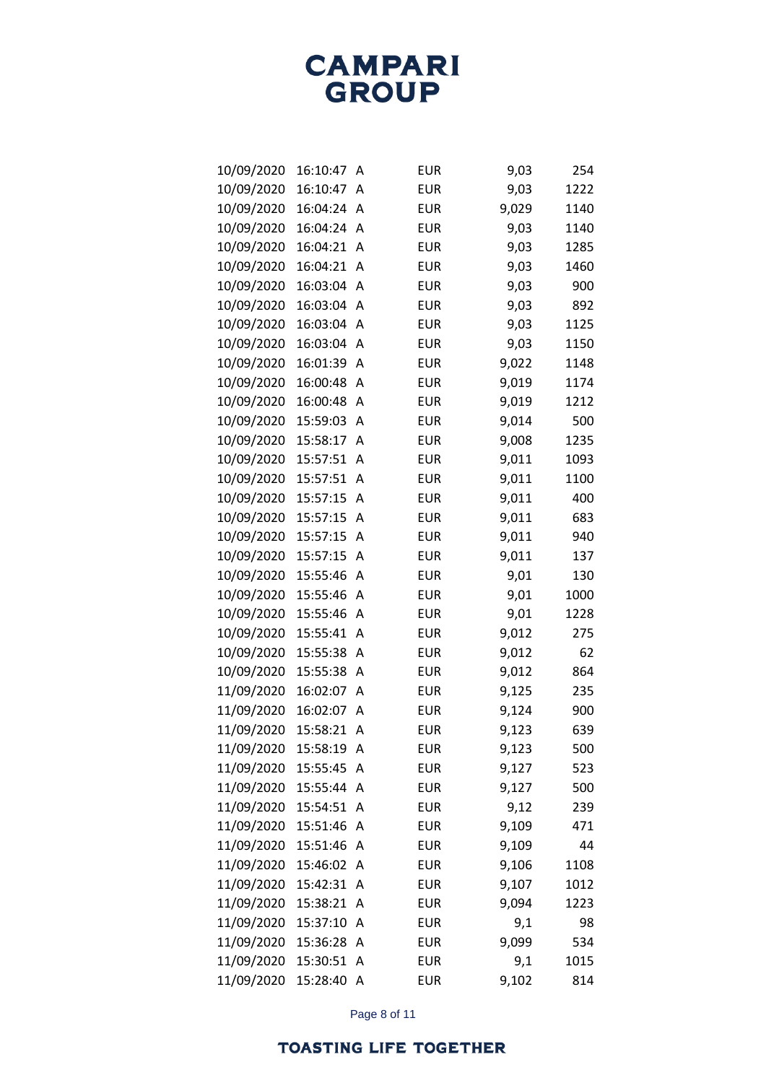| 10/09/2020 | 16:10:47 | Α | <b>EUR</b> | 9,03  | 254  |
|------------|----------|---|------------|-------|------|
| 10/09/2020 | 16:10:47 | Α | <b>EUR</b> | 9,03  | 1222 |
| 10/09/2020 | 16:04:24 | Α | <b>EUR</b> | 9,029 | 1140 |
| 10/09/2020 | 16:04:24 | Α | <b>EUR</b> | 9,03  | 1140 |
| 10/09/2020 | 16:04:21 | Α | <b>EUR</b> | 9,03  | 1285 |
| 10/09/2020 | 16:04:21 | Α | <b>EUR</b> | 9,03  | 1460 |
| 10/09/2020 | 16:03:04 | Α | <b>EUR</b> | 9,03  | 900  |
| 10/09/2020 | 16:03:04 | Α | <b>EUR</b> | 9,03  | 892  |
| 10/09/2020 | 16:03:04 | Α | <b>EUR</b> | 9,03  | 1125 |
| 10/09/2020 | 16:03:04 | Α | <b>EUR</b> | 9,03  | 1150 |
| 10/09/2020 | 16:01:39 | Α | <b>EUR</b> | 9,022 | 1148 |
| 10/09/2020 | 16:00:48 | Α | <b>EUR</b> | 9,019 | 1174 |
| 10/09/2020 | 16:00:48 | Α | <b>EUR</b> | 9,019 | 1212 |
| 10/09/2020 | 15:59:03 | Α | <b>EUR</b> | 9,014 | 500  |
| 10/09/2020 | 15:58:17 | Α | <b>EUR</b> | 9,008 | 1235 |
| 10/09/2020 | 15:57:51 | Α | <b>EUR</b> | 9,011 | 1093 |
| 10/09/2020 | 15:57:51 | Α | <b>EUR</b> | 9,011 | 1100 |
| 10/09/2020 | 15:57:15 | Α | <b>EUR</b> | 9,011 | 400  |
| 10/09/2020 | 15:57:15 | Α | <b>EUR</b> | 9,011 | 683  |
| 10/09/2020 | 15:57:15 | Α | <b>EUR</b> | 9,011 | 940  |
| 10/09/2020 | 15:57:15 | Α | <b>EUR</b> | 9,011 | 137  |
| 10/09/2020 | 15:55:46 | Α | <b>EUR</b> | 9,01  | 130  |
| 10/09/2020 | 15:55:46 | Α | <b>EUR</b> | 9,01  | 1000 |
| 10/09/2020 | 15:55:46 | Α | <b>EUR</b> | 9,01  | 1228 |
| 10/09/2020 | 15:55:41 | Α | <b>EUR</b> | 9,012 | 275  |
| 10/09/2020 | 15:55:38 | Α | <b>EUR</b> | 9,012 | 62   |
| 10/09/2020 | 15:55:38 | Α | <b>EUR</b> | 9,012 | 864  |
| 11/09/2020 | 16:02:07 | Α | <b>EUR</b> | 9,125 | 235  |
| 11/09/2020 | 16:02:07 | Α | <b>EUR</b> | 9,124 | 900  |
| 11/09/2020 | 15:58:21 | Α | <b>EUR</b> | 9,123 | 639  |
| 11/09/2020 | 15:58:19 | Α | <b>EUR</b> | 9,123 | 500  |
| 11/09/2020 | 15:55:45 | Α | <b>EUR</b> | 9,127 | 523  |
| 11/09/2020 | 15:55:44 | Α | EUR        | 9,127 | 500  |
| 11/09/2020 | 15:54:51 | Α | <b>EUR</b> | 9,12  | 239  |
| 11/09/2020 | 15:51:46 | Α | <b>EUR</b> | 9,109 | 471  |
| 11/09/2020 | 15:51:46 | A | EUR        | 9,109 | 44   |
| 11/09/2020 | 15:46:02 | Α | <b>EUR</b> | 9,106 | 1108 |
| 11/09/2020 | 15:42:31 | Α | <b>EUR</b> | 9,107 | 1012 |
| 11/09/2020 | 15:38:21 | A | <b>EUR</b> | 9,094 | 1223 |
| 11/09/2020 | 15:37:10 | A | EUR        | 9,1   | 98   |
| 11/09/2020 | 15:36:28 | Α | EUR        | 9,099 | 534  |
| 11/09/2020 | 15:30:51 | Α | EUR        | 9,1   | 1015 |
| 11/09/2020 | 15:28:40 | A | EUR        | 9,102 | 814  |

Page 8 of 11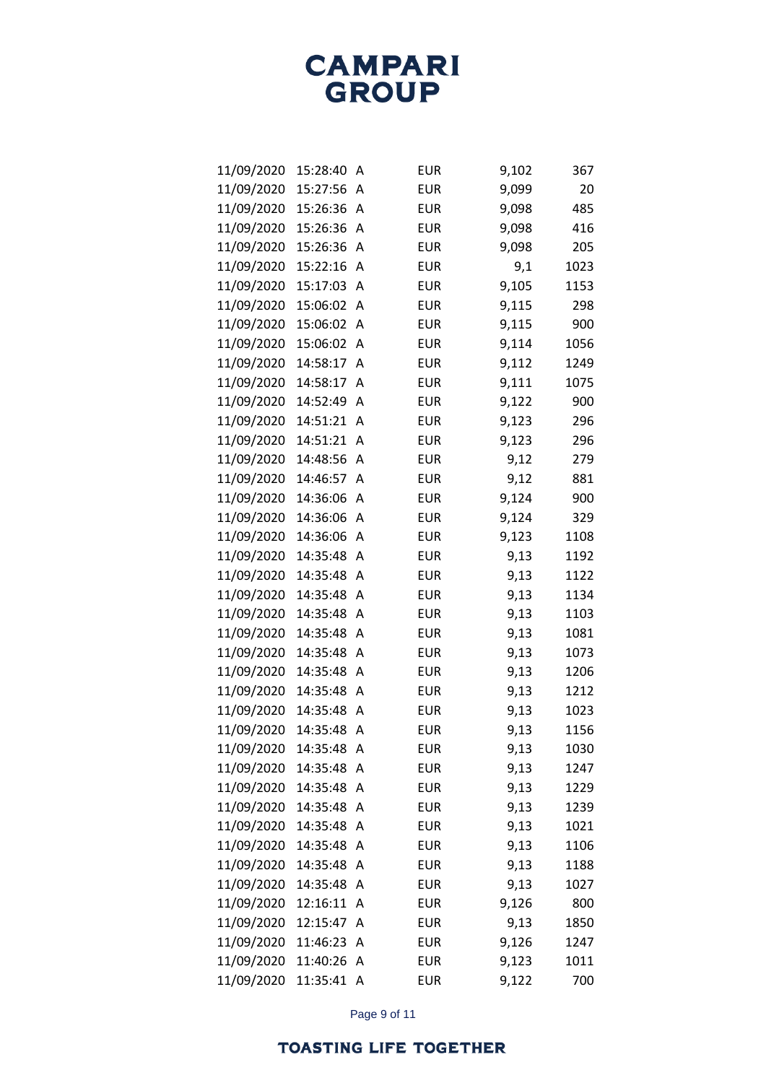| 11/09/2020 | 15:28:40 | Α              | <b>EUR</b> | 9,102 | 367  |
|------------|----------|----------------|------------|-------|------|
| 11/09/2020 | 15:27:56 | Α              | <b>EUR</b> | 9,099 | 20   |
| 11/09/2020 | 15:26:36 | Α              | <b>EUR</b> | 9,098 | 485  |
| 11/09/2020 | 15:26:36 | Α              | <b>EUR</b> | 9,098 | 416  |
| 11/09/2020 | 15:26:36 | Α              | <b>EUR</b> | 9,098 | 205  |
| 11/09/2020 | 15:22:16 | Α              | <b>EUR</b> | 9,1   | 1023 |
| 11/09/2020 | 15:17:03 | Α              | <b>EUR</b> | 9,105 | 1153 |
| 11/09/2020 | 15:06:02 | Α              | <b>EUR</b> | 9,115 | 298  |
| 11/09/2020 | 15:06:02 | Α              | <b>EUR</b> | 9,115 | 900  |
| 11/09/2020 | 15:06:02 | Α              | <b>EUR</b> | 9,114 | 1056 |
| 11/09/2020 | 14:58:17 | Α              | <b>EUR</b> | 9,112 | 1249 |
| 11/09/2020 | 14:58:17 | Α              | <b>EUR</b> | 9,111 | 1075 |
| 11/09/2020 | 14:52:49 | Α              | <b>EUR</b> | 9,122 | 900  |
| 11/09/2020 | 14:51:21 | Α              | <b>EUR</b> | 9,123 | 296  |
| 11/09/2020 | 14:51:21 | Α              | <b>EUR</b> | 9,123 | 296  |
| 11/09/2020 | 14:48:56 | Α              | <b>EUR</b> | 9,12  | 279  |
| 11/09/2020 | 14:46:57 | Α              | <b>EUR</b> | 9,12  | 881  |
| 11/09/2020 | 14:36:06 | Α              | <b>EUR</b> | 9,124 | 900  |
| 11/09/2020 | 14:36:06 | Α              | <b>EUR</b> | 9,124 | 329  |
| 11/09/2020 | 14:36:06 | Α              | <b>EUR</b> | 9,123 | 1108 |
| 11/09/2020 | 14:35:48 | Α              | <b>EUR</b> | 9,13  | 1192 |
| 11/09/2020 | 14:35:48 | Α              | <b>EUR</b> | 9,13  | 1122 |
| 11/09/2020 | 14:35:48 | Α              | <b>EUR</b> | 9,13  | 1134 |
| 11/09/2020 | 14:35:48 | Α              | <b>EUR</b> | 9,13  | 1103 |
| 11/09/2020 | 14:35:48 | Α              | <b>EUR</b> | 9,13  | 1081 |
| 11/09/2020 | 14:35:48 | Α              | <b>EUR</b> | 9,13  | 1073 |
| 11/09/2020 | 14:35:48 | Α              | <b>EUR</b> | 9,13  | 1206 |
| 11/09/2020 | 14:35:48 | Α              | <b>EUR</b> | 9,13  | 1212 |
| 11/09/2020 | 14:35:48 | Α              | <b>EUR</b> | 9,13  | 1023 |
| 11/09/2020 | 14:35:48 | Α              | <b>EUR</b> | 9,13  | 1156 |
| 11/09/2020 | 14:35:48 | Α              | EUR        | 9,13  | 1030 |
| 11/09/2020 | 14:35:48 | Α              | EUR        | 9,13  | 1247 |
| 11/09/2020 | 14:35:48 | Α              | <b>EUR</b> | 9,13  | 1229 |
| 11/09/2020 | 14:35:48 | Α              | EUR        | 9,13  | 1239 |
| 11/09/2020 | 14:35:48 | Α              | <b>EUR</b> | 9,13  | 1021 |
| 11/09/2020 | 14:35:48 | A              | EUR        | 9,13  | 1106 |
| 11/09/2020 | 14:35:48 | Α              | <b>EUR</b> | 9,13  | 1188 |
| 11/09/2020 | 14:35:48 | Α              | <b>EUR</b> | 9,13  | 1027 |
| 11/09/2020 | 12:16:11 | A              | <b>EUR</b> | 9,126 | 800  |
| 11/09/2020 | 12:15:47 | Α              | EUR        | 9,13  | 1850 |
| 11/09/2020 | 11:46:23 | Α              | <b>EUR</b> | 9,126 | 1247 |
| 11/09/2020 | 11:40:26 | Α              | EUR        | 9,123 | 1011 |
| 11/09/2020 | 11:35:41 | $\overline{A}$ | EUR        | 9,122 | 700  |

Page 9 of 11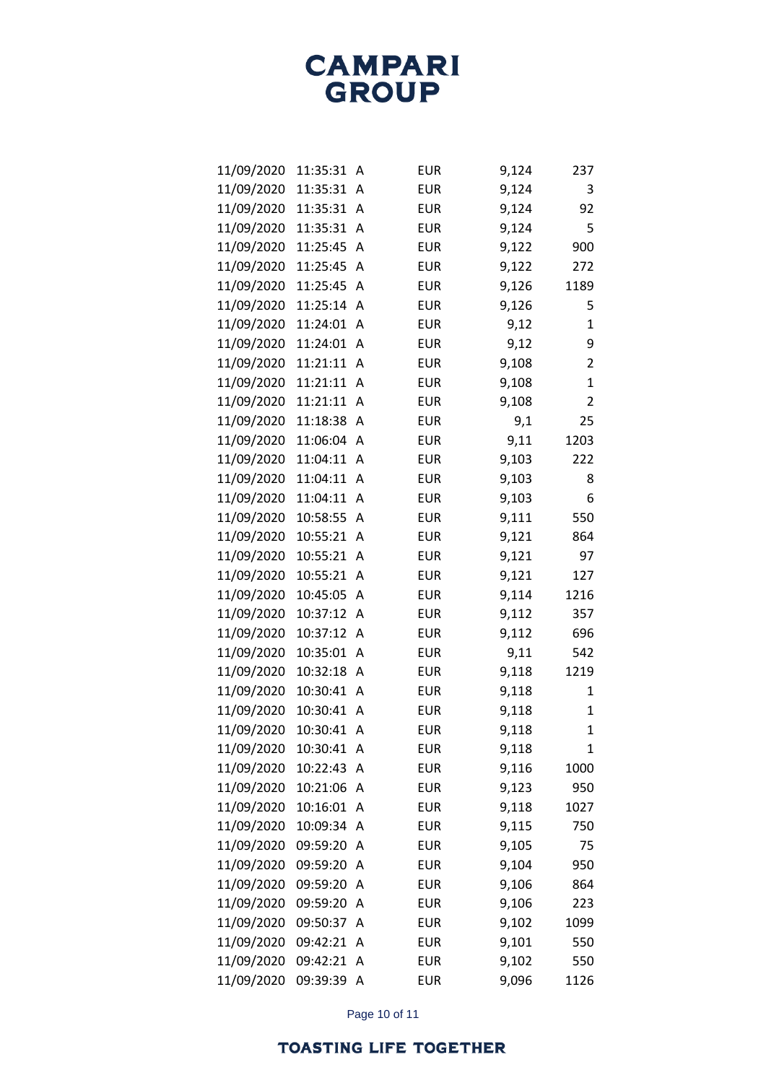| 11/09/2020 | 11:35:31 | A | <b>EUR</b> | 9,124 | 237          |
|------------|----------|---|------------|-------|--------------|
| 11/09/2020 | 11:35:31 | A | <b>EUR</b> | 9,124 | 3            |
| 11/09/2020 | 11:35:31 | Α | <b>EUR</b> | 9,124 | 92           |
| 11/09/2020 | 11:35:31 | Α | <b>EUR</b> | 9,124 | 5            |
| 11/09/2020 | 11:25:45 | Α | <b>EUR</b> | 9,122 | 900          |
| 11/09/2020 | 11:25:45 | Α | <b>EUR</b> | 9,122 | 272          |
| 11/09/2020 | 11:25:45 | Α | <b>EUR</b> | 9,126 | 1189         |
| 11/09/2020 | 11:25:14 | Α | <b>EUR</b> | 9,126 | 5            |
| 11/09/2020 | 11:24:01 | Α | <b>EUR</b> | 9,12  | 1            |
| 11/09/2020 | 11:24:01 | Α | <b>EUR</b> | 9,12  | 9            |
| 11/09/2020 | 11:21:11 | A | <b>EUR</b> | 9,108 | 2            |
| 11/09/2020 | 11:21:11 | Α | <b>EUR</b> | 9,108 | $\mathbf{1}$ |
| 11/09/2020 | 11:21:11 | Α | <b>EUR</b> | 9,108 | 2            |
| 11/09/2020 | 11:18:38 | Α | <b>EUR</b> | 9,1   | 25           |
| 11/09/2020 | 11:06:04 | A | <b>EUR</b> | 9,11  | 1203         |
| 11/09/2020 | 11:04:11 | Α | <b>EUR</b> | 9,103 | 222          |
| 11/09/2020 | 11:04:11 | A | <b>EUR</b> | 9,103 | 8            |
| 11/09/2020 | 11:04:11 | Α | <b>EUR</b> | 9,103 | 6            |
| 11/09/2020 | 10:58:55 | Α | <b>EUR</b> | 9,111 | 550          |
| 11/09/2020 | 10:55:21 | Α | <b>EUR</b> | 9,121 | 864          |
| 11/09/2020 | 10:55:21 | Α | <b>EUR</b> | 9,121 | 97           |
| 11/09/2020 | 10:55:21 | Α | <b>EUR</b> | 9,121 | 127          |
| 11/09/2020 | 10:45:05 | Α | <b>EUR</b> | 9,114 | 1216         |
| 11/09/2020 | 10:37:12 | Α | <b>EUR</b> | 9,112 | 357          |
| 11/09/2020 | 10:37:12 | Α | <b>EUR</b> | 9,112 | 696          |
| 11/09/2020 | 10:35:01 | Α | <b>EUR</b> | 9,11  | 542          |
| 11/09/2020 | 10:32:18 | Α | <b>EUR</b> | 9,118 | 1219         |
| 11/09/2020 | 10:30:41 | Α | <b>EUR</b> | 9,118 | 1            |
| 11/09/2020 | 10:30:41 | Α | <b>EUR</b> | 9,118 | $\mathbf{1}$ |
| 11/09/2020 | 10:30:41 | Α | <b>EUR</b> | 9,118 | 1            |
| 11/09/2020 | 10:30:41 | Α | <b>EUR</b> | 9,118 | 1            |
| 11/09/2020 | 10:22:43 | Α | <b>EUR</b> | 9,116 | 1000         |
| 11/09/2020 | 10:21:06 | Α | <b>EUR</b> | 9,123 | 950          |
| 11/09/2020 | 10:16:01 | Α | <b>EUR</b> | 9,118 | 1027         |
| 11/09/2020 | 10:09:34 | Α | <b>EUR</b> | 9,115 | 750          |
| 11/09/2020 | 09:59:20 | A | <b>EUR</b> | 9,105 | 75           |
| 11/09/2020 | 09:59:20 | Α | <b>EUR</b> | 9,104 | 950          |
| 11/09/2020 | 09:59:20 | Α | <b>EUR</b> | 9,106 | 864          |
| 11/09/2020 | 09:59:20 | Α | <b>EUR</b> | 9,106 | 223          |
| 11/09/2020 | 09:50:37 | Α | <b>EUR</b> | 9,102 | 1099         |
| 11/09/2020 | 09:42:21 | Α | <b>EUR</b> | 9,101 | 550          |
| 11/09/2020 | 09:42:21 | A | <b>EUR</b> | 9,102 | 550          |
| 11/09/2020 | 09:39:39 | Α | <b>EUR</b> | 9,096 | 1126         |

Page 10 of 11